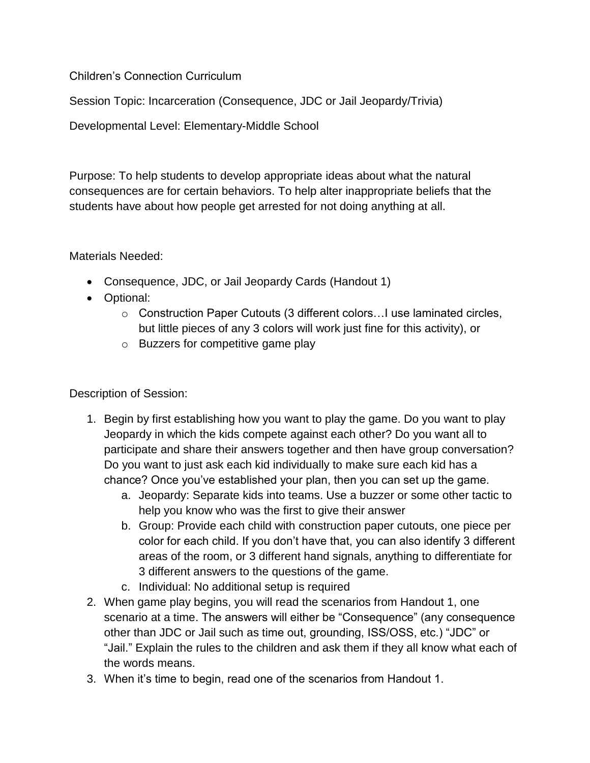Children's Connection Curriculum

Session Topic: Incarceration (Consequence, JDC or Jail Jeopardy/Trivia)

Developmental Level: Elementary-Middle School

Purpose: To help students to develop appropriate ideas about what the natural consequences are for certain behaviors. To help alter inappropriate beliefs that the students have about how people get arrested for not doing anything at all.

Materials Needed:

- Consequence, JDC, or Jail Jeopardy Cards (Handout 1)
- Optional:
	- o Construction Paper Cutouts (3 different colors…I use laminated circles, but little pieces of any 3 colors will work just fine for this activity), or
	- o Buzzers for competitive game play

Description of Session:

- 1. Begin by first establishing how you want to play the game. Do you want to play Jeopardy in which the kids compete against each other? Do you want all to participate and share their answers together and then have group conversation? Do you want to just ask each kid individually to make sure each kid has a chance? Once you've established your plan, then you can set up the game.
	- a. Jeopardy: Separate kids into teams. Use a buzzer or some other tactic to help you know who was the first to give their answer
	- b. Group: Provide each child with construction paper cutouts, one piece per color for each child. If you don't have that, you can also identify 3 different areas of the room, or 3 different hand signals, anything to differentiate for 3 different answers to the questions of the game.
	- c. Individual: No additional setup is required
- 2. When game play begins, you will read the scenarios from Handout 1, one scenario at a time. The answers will either be "Consequence" (any consequence other than JDC or Jail such as time out, grounding, ISS/OSS, etc.) "JDC" or "Jail." Explain the rules to the children and ask them if they all know what each of the words means.
- 3. When it's time to begin, read one of the scenarios from Handout 1.